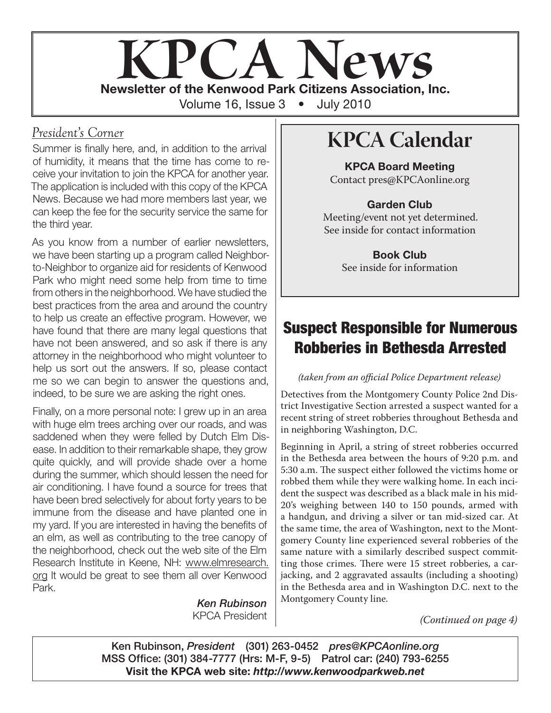

### *President's Corner*

Summer is finally here, and, in addition to the arrival of humidity, it means that the time has come to receive your invitation to join the KPCA for another year. The application is included with this copy of the KPCA News. Because we had more members last year, we can keep the fee for the security service the same for the third year.

As you know from a number of earlier newsletters, we have been starting up a program called Neighborto-Neighbor to organize aid for residents of Kenwood Park who might need some help from time to time from others in the neighborhood. We have studied the best practices from the area and around the country to help us create an effective program. However, we have found that there are many legal questions that have not been answered, and so ask if there is any attorney in the neighborhood who might volunteer to help us sort out the answers. If so, please contact me so we can begin to answer the questions and, indeed, to be sure we are asking the right ones.

Finally, on a more personal note: I grew up in an area with huge elm trees arching over our roads, and was saddened when they were felled by Dutch Elm Disease. In addition to their remarkable shape, they grow quite quickly, and will provide shade over a home during the summer, which should lessen the need for air conditioning. I have found a source for trees that have been bred selectively for about forty years to be immune from the disease and have planted one in my yard. If you are interested in having the benefits of an elm, as well as contributing to the tree canopy of the neighborhood, check out the web site of the Elm Research Institute in Keene, NH: www.elmresearch. org It would be great to see them all over Kenwood Park.

> *Ken Rubinson* KPCA President

# **KPCA Calendar**

**KPCA Board Meeting** Contact pres@KPCAonline.org

#### **Garden Club**

Meeting/event not yet determined. See inside for contact information

> **Book Club** See inside for information

### **Suspect Responsible for Numerous Robberies in Bethesda Arrested**

#### *(taken from an official Police Department release)*

Detectives from the Montgomery County Police 2nd District Investigative Section arrested a suspect wanted for a recent string of street robberies throughout Bethesda and in neighboring Washington, D.C.

Beginning in April, a string of street robberies occurred in the Bethesda area between the hours of 9:20 p.m. and 5:30 a.m. The suspect either followed the victims home or robbed them while they were walking home. In each incident the suspect was described as a black male in his mid-20's weighing between 140 to 150 pounds, armed with a handgun, and driving a silver or tan mid-sized car. At the same time, the area of Washington, next to the Montgomery County line experienced several robberies of the same nature with a similarly described suspect committing those crimes. There were 15 street robberies, a carjacking, and 2 aggravated assaults (including a shooting) in the Bethesda area and in Washington D.C. next to the Montgomery County line.

*(Continued on page 4)*

**Ken Rubinson,** *President* **(301) 263-0452** *pres@KPCAonline.org* **MSS Office: (301) 384-7777 (Hrs: M-F, 9-5) Patrol car: (240) 793-6255 Visit the KPCA web site:** *http://www.kenwoodparkweb.net*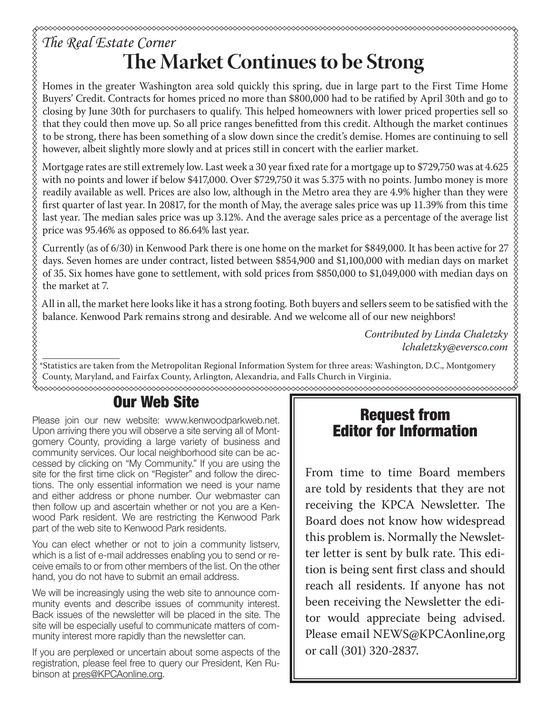## *The Real Estate Corner* **The Market Continues to be Strong**

Homes in the greater Washington area sold quickly this spring, due in large part to the First Time Home Buyers' Credit. Contracts for homes priced no more than \$800,000 had to be ratified by April 30th and go to closing by June 30th for purchasers to qualify. This helped homeowners with lower priced properties sell so that they could then move up. So all price ranges benefitted from this credit. Although the market continues to be strong, there has been something of a slow down since the credit's demise. Homes are continuing to sell however, albeit slightly more slowly and at prices still in concert with the earlier market.

Mortgage rates are still extremely low. Last week a 30 year fixed rate for a mortgage up to \$729,750 was at 4.625 with no points and lower if below \$417,000. Over \$729,750 it was 5.375 with no points. Jumbo money is more readily available as well. Prices are also low, although in the Metro area they are 4.9% higher than they were first quarter of last year. In 20817, for the month of May, the average sales price was up 11.39% from this time last year. The median sales price was up 3.12%. And the average sales price as a percentage of the average list  $\frac{8}{9}$ price was 95.46% as opposed to 86.64% last year.

Currently (as of 6/30) in Kenwood Park there is one home on the market for \$849,000. It has been active for 27 days. Seven homes are under contract, listed between \$854,900 and \$1,100,000 with median days on market of 35. Six homes have gone to settlement, with sold prices from \$850,000 to \$1,049,000 with median days on the market at 7.

All in all, the market here looks like it has a strong footing. Both buyers and sellers seem to be satisfied with the balance. Kenwood Park remains strong and desirable. And we welcome all of our new neighbors!

> *Contributed by Linda Chaletzky lchaletzky@eversco.com*

888888888888888 \*Statistics are taken from the Metropolitan Regional Information System for three areas: Washington, D.C., Montgomery County, Maryland, and Fairfax County, Arlington, Alexandria, and Falls Church in Virginia.

#### **Our Web Site**

Please join our new website: www.kenwoodparkweb.net. Upon arriving there you will observe a site serving all of Montgomery County, providing a large variety of business and community services. Our local neighborhood site can be accessed by clicking on "My Community." If you are using the site for the first time click on "Register" and follow the directions. The only essential information we need is your name and either address or phone number. Our webmaster can then follow up and ascertain whether or not you are a Kenwood Park resident. We are restricting the Kenwood Park part of the web site to Kenwood Park residents.

You can elect whether or not to join a community listserv, which is a list of e-mail addresses enabling you to send or receive emails to or from other members of the list. On the other hand, you do not have to submit an email address.

We will be increasingly using the web site to announce community events and describe issues of community interest. Back issues of the newsletter will be placed in the site. The site will be especially useful to communicate matters of community interest more rapidly than the newsletter can.

If you are perplexed or uncertain about some aspects of the registration, please feel free to query our President, Ken Rubinson at pres@KPCAonline.org.

### **Request from Editor for Information**

From time to time Board members are told by residents that they are not receiving the KPCA Newsletter. The Board does not know how widespread this problem is. Normally the Newsletter letter is sent by bulk rate. This edition is being sent first class and should reach all residents. If anyone has not been receiving the Newsletter the editor would appreciate being advised. Please email NEWS@KPCAonline,org or call (301) 320-2837.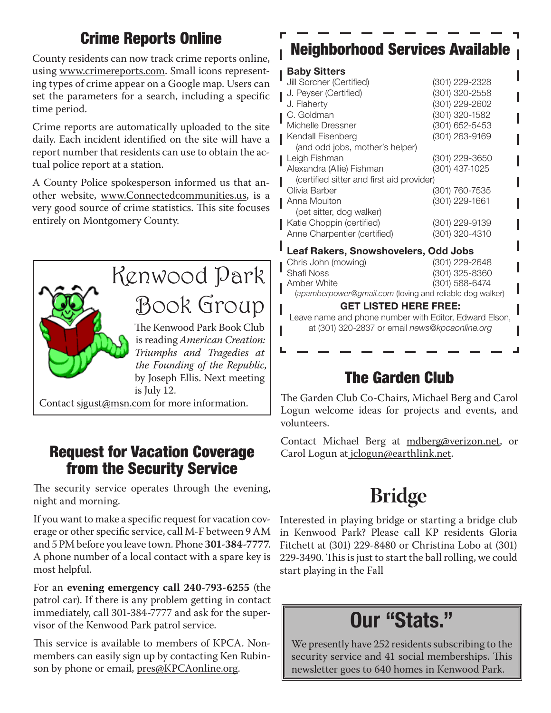## **Crime Reports Online**

County residents can now track crime reports online, using www.crimereports.com. Small icons representing types of crime appear on a Google map. Users can set the parameters for a search, including a specific time period.

Crime reports are automatically uploaded to the site daily. Each incident identified on the site will have a report number that residents can use to obtain the actual police report at a station.

A County Police spokesperson informed us that another website, www.Connectedcommunities.us, is a very good source of crime statistics. This site focuses entirely on Montgomery County.



Contact sjgust@msn.com for more information.

### **Request for Vacation Coverage from the Security Service**

The security service operates through the evening, night and morning.

If you want to make a specific request for vacation coverage or other specific service, call M-F between 9 AM and 5 PM before you leave town. Phone **301-384-7777**. A phone number of a local contact with a spare key is most helpful.

For an **evening emergency call 240-793-6255** (the patrol car). If there is any problem getting in contact immediately, call 301-384-7777 and ask for the supervisor of the Kenwood Park patrol service.

This service is available to members of KPCA. Nonmembers can easily sign up by contacting Ken Rubinson by phone or email, pres@KPCAonline.org.

# **Neighborhood Services Available**

#### **Baby Sitters**

| Jill Sorcher (Certified)                  | (301) 229-2328 |  |  |  |
|-------------------------------------------|----------------|--|--|--|
| J. Peyser (Certified)                     | (301) 320-2558 |  |  |  |
| J. Flaherty                               | (301) 229-2602 |  |  |  |
| C. Goldman                                | (301) 320-1582 |  |  |  |
| Michelle Dressner                         | (301) 652-5453 |  |  |  |
| Kendall Eisenberg                         | (301) 263-9169 |  |  |  |
| (and odd jobs, mother's helper)           |                |  |  |  |
| Leigh Fishman                             | (301) 229-3650 |  |  |  |
| Alexandra (Allie) Fishman                 | (301) 437-1025 |  |  |  |
| (certified sitter and first aid provider) |                |  |  |  |
| Olivia Barber                             | (301) 760-7535 |  |  |  |
| Anna Moulton                              | (301) 229-1661 |  |  |  |
| (pet sitter, dog walker)                  |                |  |  |  |
| Katie Choppin (certified)                 | (301) 229-9139 |  |  |  |
| Anne Charpentier (certified)              | (301) 320-4310 |  |  |  |

#### **Leaf Rakers, Snowshovelers, Odd Jobs**

| 8 - - I I 8 - - 8 I I - 8 - FR -                         |                |  |  |  |
|----------------------------------------------------------|----------------|--|--|--|
| (apamberpower@gmail.com (loving and reliable dog walker) |                |  |  |  |
| ∎ Amber White                                            | (301) 588-6474 |  |  |  |
| " Shafi Noss                                             | (301) 325-8360 |  |  |  |
| Chris John (mowing)                                      | (301) 229-2648 |  |  |  |
|                                                          |                |  |  |  |

#### **GET LISTED HERE FREE:**

Leave name and phone number with Editor, Edward Elson, at (301) 320-2837 or email news@kpcaonline.org

## **The Garden Club**

The Garden Club Co-Chairs, Michael Berg and Carol Logun welcome ideas for projects and events, and volunteers.

Contact Michael Berg at mdberg@verizon.net, or Carol Logun at jclogun@earthlink.net.

# **Bridge**

Interested in playing bridge or starting a bridge club in Kenwood Park? Please call KP residents Gloria Fitchett at (301) 229-8480 or Christina Lobo at (301) 229-3490. This is just to start the ball rolling, we could start playing in the Fall

# **Our "Stats."**

We presently have 252 residents subscribing to the security service and 41 social memberships. This newsletter goes to 640 homes in Kenwood Park.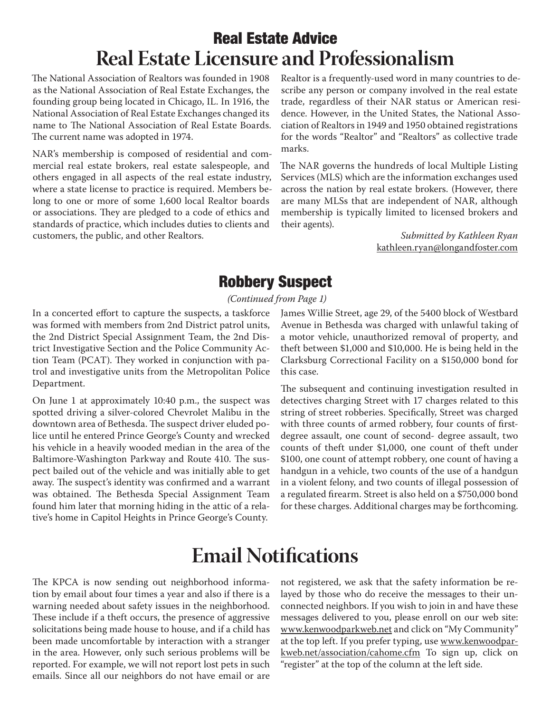# **Real Estate Advice Real Estate Licensure and Professionalism**

The National Association of Realtors was founded in 1908 as the National Association of Real Estate Exchanges, the founding group being located in Chicago, IL. In 1916, the National Association of Real Estate Exchanges changed its name to The National Association of Real Estate Boards. The current name was adopted in 1974.

NAR's membership is composed of residential and commercial real estate brokers, real estate salespeople, and others engaged in all aspects of the real estate industry, where a state license to practice is required. Members belong to one or more of some 1,600 local Realtor boards or associations. They are pledged to a code of ethics and standards of practice, which includes duties to clients and customers, the public, and other Realtors.

Realtor is a frequently-used word in many countries to describe any person or company involved in the real estate trade, regardless of their NAR status or American residence. However, in the United States, the National Association of Realtors in 1949 and 1950 obtained registrations for the words "Realtor" and "Realtors" as collective trade marks.

The NAR governs the hundreds of local Multiple Listing Services (MLS) which are the information exchanges used across the nation by real estate brokers. (However, there are many MLSs that are independent of NAR, although membership is typically limited to licensed brokers and their agents).

> *Submitted by Kathleen Ryan*  kathleen.ryan@longandfoster.com

### **Robbery Suspect**

*(Continued from Page 1)*

In a concerted effort to capture the suspects, a taskforce was formed with members from 2nd District patrol units, the 2nd District Special Assignment Team, the 2nd District Investigative Section and the Police Community Action Team (PCAT). They worked in conjunction with patrol and investigative units from the Metropolitan Police Department.

On June 1 at approximately 10:40 p.m., the suspect was spotted driving a silver-colored Chevrolet Malibu in the downtown area of Bethesda. The suspect driver eluded police until he entered Prince George's County and wrecked his vehicle in a heavily wooded median in the area of the Baltimore-Washington Parkway and Route 410. The suspect bailed out of the vehicle and was initially able to get away. The suspect's identity was confirmed and a warrant was obtained. The Bethesda Special Assignment Team found him later that morning hiding in the attic of a relative's home in Capitol Heights in Prince George's County.

James Willie Street, age 29, of the 5400 block of Westbard Avenue in Bethesda was charged with unlawful taking of a motor vehicle, unauthorized removal of property, and theft between \$1,000 and \$10,000. He is being held in the Clarksburg Correctional Facility on a \$150,000 bond for this case.

The subsequent and continuing investigation resulted in detectives charging Street with 17 charges related to this string of street robberies. Specifically, Street was charged with three counts of armed robbery, four counts of firstdegree assault, one count of second- degree assault, two counts of theft under \$1,000, one count of theft under \$100, one count of attempt robbery, one count of having a handgun in a vehicle, two counts of the use of a handgun in a violent felony, and two counts of illegal possession of a regulated firearm. Street is also held on a \$750,000 bond for these charges. Additional charges may be forthcoming.

# **Email Notifications**

The KPCA is now sending out neighborhood information by email about four times a year and also if there is a warning needed about safety issues in the neighborhood. These include if a theft occurs, the presence of aggressive solicitations being made house to house, and if a child has been made uncomfortable by interaction with a stranger in the area. However, only such serious problems will be reported. For example, we will not report lost pets in such emails. Since all our neighbors do not have email or are

not registered, we ask that the safety information be relayed by those who do receive the messages to their unconnected neighbors. If you wish to join in and have these messages delivered to you, please enroll on our web site: www.kenwoodparkweb.net and click on "My Community" at the top left. If you prefer typing, use www.kenwoodparkweb.net/association/cahome.cfm To sign up, click on "register" at the top of the column at the left side.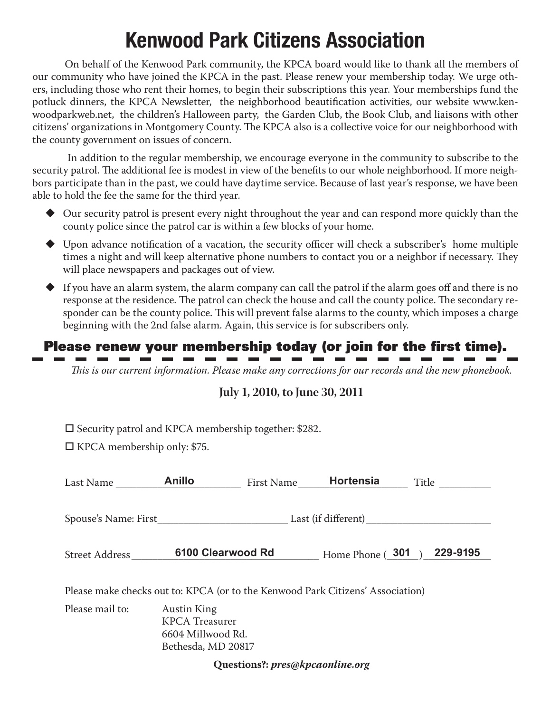# **Kenwood Park Citizens Association**

On behalf of the Kenwood Park community, the KPCA board would like to thank all the members of our community who have joined the KPCA in the past. Please renew your membership today. We urge others, including those who rent their homes, to begin their subscriptions this year. Your memberships fund the potluck dinners, the KPCA Newsletter, the neighborhood beautification activities, our website www.kenwoodparkweb.net, the children's Halloween party, the Garden Club, the Book Club, and liaisons with other citizens' organizations in Montgomery County. The KPCA also is a collective voice for our neighborhood with the county government on issues of concern.

 In addition to the regular membership, we encourage everyone in the community to subscribe to the security patrol. The additional fee is modest in view of the benefits to our whole neighborhood. If more neighbors participate than in the past, we could have daytime service. Because of last year's response, we have been able to hold the fee the same for the third year.

- Our security patrol is present every night throughout the year and can respond more quickly than the county police since the patrol car is within a few blocks of your home.
- $\blacklozenge$  Upon advance notification of a vacation, the security officer will check a subscriber's home multiple times a night and will keep alternative phone numbers to contact you or a neighbor if necessary. They will place newspapers and packages out of view.
- $\blacklozenge$  If you have an alarm system, the alarm company can call the patrol if the alarm goes off and there is no response at the residence. The patrol can check the house and call the county police. The secondary responder can be the county police. This will prevent false alarms to the county, which imposes a charge beginning with the 2nd false alarm. Again, this service is for subscribers only.

# **Please renew your membership today (or join for the first time).**<br>  $\blacksquare$   $\blacksquare$   $\blacksquare$   $\blacksquare$   $\blacksquare$   $\blacksquare$   $\blacksquare$   $\blacksquare$   $\blacksquare$   $\blacksquare$   $\blacksquare$   $\blacksquare$   $\blacksquare$   $\blacksquare$   $\blacksquare$   $\blacksquare$   $\blacksquare$   $\blacksquare$   $\blacksquare$   $\blacksquare$   $\blacksquare$   $\blacksquare$

*This is our current information. Please make any corrections for our records and the new phonebook.* 

#### **July 1, 2010, to June 30, 2011**

 $\square$  Security patrol and KPCA membership together: \$282.

 $\Box$  KPCA membership only: \$75.

 $\mathbf{m}$  and  $\mathbf{r}$ 

| Last Name                                                                      | <b>Anillo</b>                                                                          | First Name | Hortensia        | Title ________ |  |  |  |
|--------------------------------------------------------------------------------|----------------------------------------------------------------------------------------|------------|------------------|----------------|--|--|--|
|                                                                                |                                                                                        |            |                  |                |  |  |  |
| Street Address                                                                 | 6100 Clearwood Rd                                                                      |            | Home Phone (301) | 229-9195       |  |  |  |
| Please make checks out to: KPCA (or to the Kenwood Park Citizens' Association) |                                                                                        |            |                  |                |  |  |  |
| Please mail to:                                                                | <b>Austin King</b><br><b>KPCA</b> Treasurer<br>6604 Millwood Rd.<br>Bethesda, MD 20817 |            |                  |                |  |  |  |
| Questions?: pres@kpcaonline.org                                                |                                                                                        |            |                  |                |  |  |  |